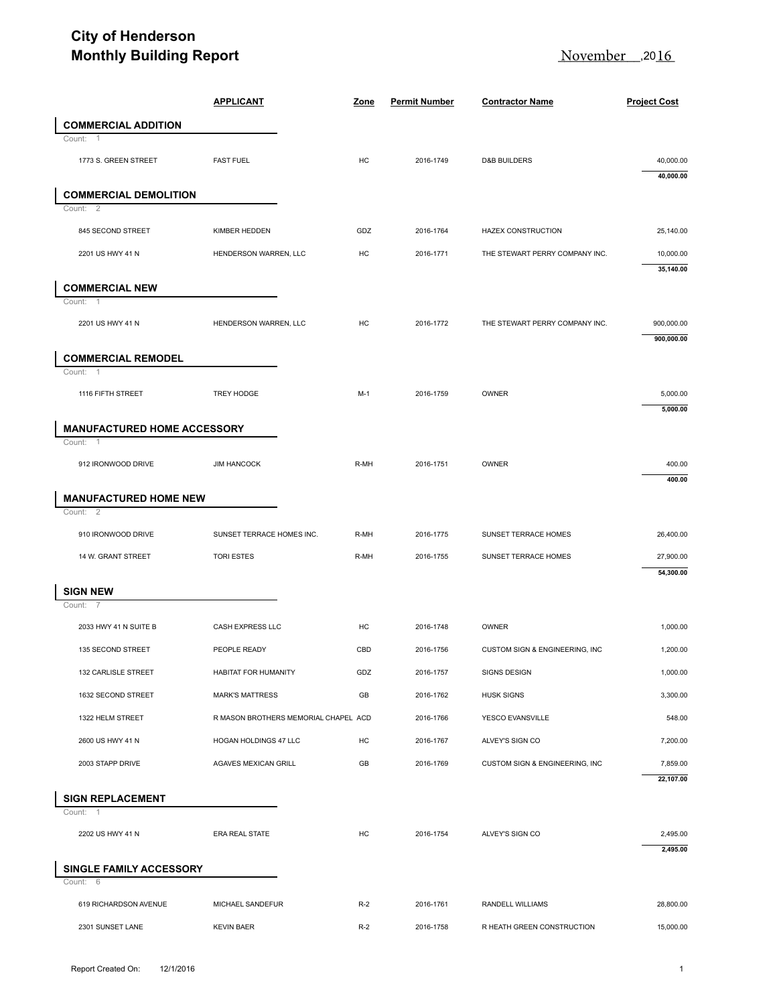## **City of Henderson Monthly Building Report**

| <b>Monthly Building Report</b>                           | <u>November</u><br>,20 <u>16</u>     |       |                      |                                |                          |
|----------------------------------------------------------|--------------------------------------|-------|----------------------|--------------------------------|--------------------------|
|                                                          | <b>APPLICANT</b>                     | Zone  | <b>Permit Number</b> | <b>Contractor Name</b>         | <b>Project Cost</b>      |
| <b>COMMERCIAL ADDITION</b>                               |                                      |       |                      |                                |                          |
| Count:<br>-1<br>1773 S. GREEN STREET                     | <b>FAST FUEL</b>                     | HC    | 2016-1749            | <b>D&amp;B BUILDERS</b>        | 40,000.00<br>40,000.00   |
| <b>COMMERCIAL DEMOLITION</b><br>$\overline{2}$<br>Count: |                                      |       |                      |                                |                          |
| 845 SECOND STREET                                        | KIMBER HEDDEN                        | GDZ   | 2016-1764            | <b>HAZEX CONSTRUCTION</b>      | 25,140.00                |
| 2201 US HWY 41 N                                         | HENDERSON WARREN, LLC                | HC    | 2016-1771            | THE STEWART PERRY COMPANY INC. | 10,000.00<br>35,140.00   |
| <b>COMMERCIAL NEW</b>                                    |                                      |       |                      |                                |                          |
| Count:<br>-1<br>2201 US HWY 41 N                         | HENDERSON WARREN, LLC                | HC    | 2016-1772            | THE STEWART PERRY COMPANY INC. | 900,000.00<br>900,000.00 |
| <b>COMMERCIAL REMODEL</b>                                |                                      |       |                      |                                |                          |
| Count: 1<br>1116 FIFTH STREET                            | TREY HODGE                           | $M-1$ | 2016-1759            | OWNER                          | 5,000.00<br>5,000.00     |
| <b>MANUFACTURED HOME ACCESSORY</b>                       |                                      |       |                      |                                |                          |
| Count:<br>-1<br>912 IRONWOOD DRIVE                       | <b>JIM HANCOCK</b>                   | R-MH  | 2016-1751            | OWNER                          | 400.00<br>400.00         |
| <b>MANUFACTURED HOME NEW</b><br>Count: 2                 |                                      |       |                      |                                |                          |
| 910 IRONWOOD DRIVE                                       | SUNSET TERRACE HOMES INC.            | R-MH  | 2016-1775            | SUNSET TERRACE HOMES           | 26,400.00                |
| 14 W. GRANT STREET                                       | <b>TORI ESTES</b>                    | R-MH  | 2016-1755            | SUNSET TERRACE HOMES           | 27,900.00<br>54,300.00   |
| <b>SIGN NEW</b><br>Count:<br>-7                          |                                      |       |                      |                                |                          |
| 2033 HWY 41 N SUITE B                                    | CASH EXPRESS LLC                     | HC    | 2016-1748            | OWNER                          | 1,000.00                 |
| 135 SECOND STREET                                        | PEOPLE READY                         | CBD   | 2016-1756            | CUSTOM SIGN & ENGINEERING, INC | 1,200.00                 |
| 132 CARLISLE STREET                                      | HABITAT FOR HUMANITY                 | GDZ   | 2016-1757            | <b>SIGNS DESIGN</b>            | 1,000.00                 |
| 1632 SECOND STREET                                       | <b>MARK'S MATTRESS</b>               | GB    | 2016-1762            | <b>HUSK SIGNS</b>              | 3,300.00                 |
| 1322 HELM STREET                                         | R MASON BROTHERS MEMORIAL CHAPEL ACD |       | 2016-1766            | YESCO EVANSVILLE               | 548.00                   |
| 2600 US HWY 41 N                                         | HOGAN HOLDINGS 47 LLC                | HC    | 2016-1767            | ALVEY'S SIGN CO                | 7,200.00                 |
| 2003 STAPP DRIVE                                         | AGAVES MEXICAN GRILL                 | GB    | 2016-1769            | CUSTOM SIGN & ENGINEERING, INC | 7,859.00<br>22,107.00    |
| <b>SIGN REPLACEMENT</b><br>Count: 1                      |                                      |       |                      |                                |                          |
| 2202 US HWY 41 N                                         | <b>ERA REAL STATE</b>                | HC    | 2016-1754            | ALVEY'S SIGN CO                | 2,495.00<br>2,495.00     |
| SINGLE FAMILY ACCESSORY                                  |                                      |       |                      |                                |                          |
|                                                          |                                      |       |                      |                                |                          |
| Count: 6<br>619 RICHARDSON AVENUE                        | MICHAEL SANDEFUR                     | $R-2$ | 2016-1761            | RANDELL WILLIAMS               | 28,800.00                |